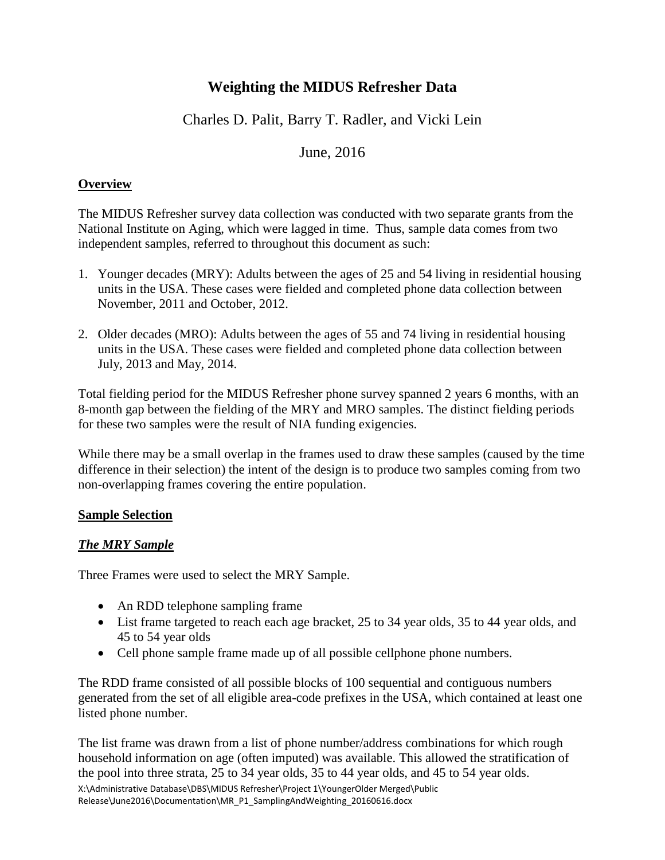# **Weighting the MIDUS Refresher Data**

# Charles D. Palit, Barry T. Radler, and Vicki Lein

# June, 2016

### **Overview**

The MIDUS Refresher survey data collection was conducted with two separate grants from the National Institute on Aging, which were lagged in time. Thus, sample data comes from two independent samples, referred to throughout this document as such:

- 1. Younger decades (MRY): Adults between the ages of 25 and 54 living in residential housing units in the USA. These cases were fielded and completed phone data collection between November, 2011 and October, 2012.
- 2. Older decades (MRO): Adults between the ages of 55 and 74 living in residential housing units in the USA. These cases were fielded and completed phone data collection between July, 2013 and May, 2014.

Total fielding period for the MIDUS Refresher phone survey spanned 2 years 6 months, with an 8-month gap between the fielding of the MRY and MRO samples. The distinct fielding periods for these two samples were the result of NIA funding exigencies.

While there may be a small overlap in the frames used to draw these samples (caused by the time difference in their selection) the intent of the design is to produce two samples coming from two non-overlapping frames covering the entire population.

#### **Sample Selection**

### *The MRY Sample*

Three Frames were used to select the MRY Sample.

- An RDD telephone sampling frame
- List frame targeted to reach each age bracket, 25 to 34 year olds, 35 to 44 year olds, and 45 to 54 year olds
- Cell phone sample frame made up of all possible cellphone phone numbers.

The RDD frame consisted of all possible blocks of 100 sequential and contiguous numbers generated from the set of all eligible area-code prefixes in the USA, which contained at least one listed phone number.

X:\Administrative Database\DBS\MIDUS Refresher\Project 1\YoungerOlder Merged\Public Release\June2016\Documentation\MR\_P1\_SamplingAndWeighting\_20160616.docx The list frame was drawn from a list of phone number/address combinations for which rough household information on age (often imputed) was available. This allowed the stratification of the pool into three strata, 25 to 34 year olds, 35 to 44 year olds, and 45 to 54 year olds.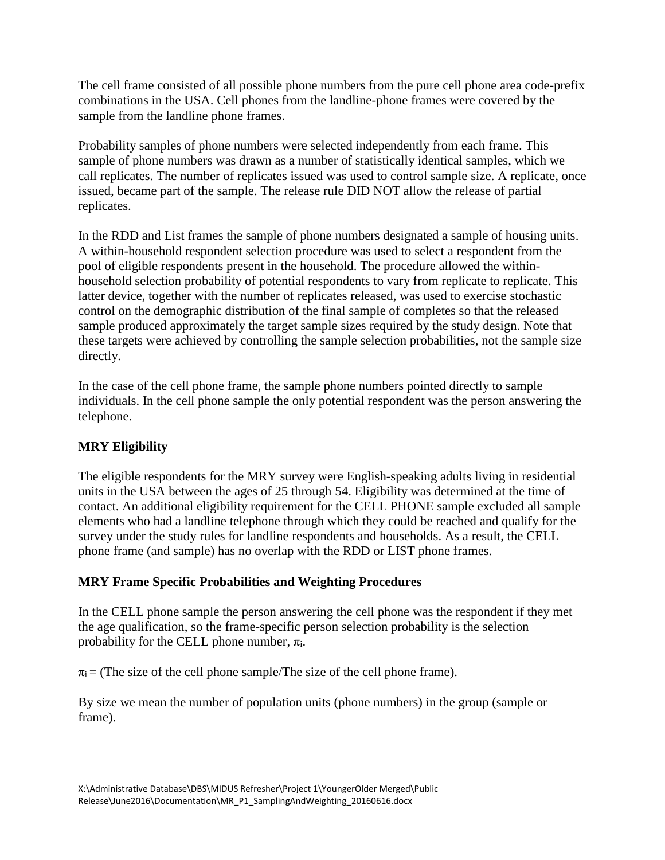The cell frame consisted of all possible phone numbers from the pure cell phone area code-prefix combinations in the USA. Cell phones from the landline-phone frames were covered by the sample from the landline phone frames.

Probability samples of phone numbers were selected independently from each frame. This sample of phone numbers was drawn as a number of statistically identical samples, which we call replicates. The number of replicates issued was used to control sample size. A replicate, once issued, became part of the sample. The release rule DID NOT allow the release of partial replicates.

In the RDD and List frames the sample of phone numbers designated a sample of housing units. A within-household respondent selection procedure was used to select a respondent from the pool of eligible respondents present in the household. The procedure allowed the withinhousehold selection probability of potential respondents to vary from replicate to replicate. This latter device, together with the number of replicates released, was used to exercise stochastic control on the demographic distribution of the final sample of completes so that the released sample produced approximately the target sample sizes required by the study design. Note that these targets were achieved by controlling the sample selection probabilities, not the sample size directly.

In the case of the cell phone frame, the sample phone numbers pointed directly to sample individuals. In the cell phone sample the only potential respondent was the person answering the telephone.

# **MRY Eligibility**

The eligible respondents for the MRY survey were English-speaking adults living in residential units in the USA between the ages of 25 through 54. Eligibility was determined at the time of contact. An additional eligibility requirement for the CELL PHONE sample excluded all sample elements who had a landline telephone through which they could be reached and qualify for the survey under the study rules for landline respondents and households. As a result, the CELL phone frame (and sample) has no overlap with the RDD or LIST phone frames.

# **MRY Frame Specific Probabilities and Weighting Procedures**

In the CELL phone sample the person answering the cell phone was the respondent if they met the age qualification, so the frame-specific person selection probability is the selection probability for the CELL phone number,  $\pi_i$ .

 $\pi_i$  = (The size of the cell phone sample/The size of the cell phone frame).

By size we mean the number of population units (phone numbers) in the group (sample or frame).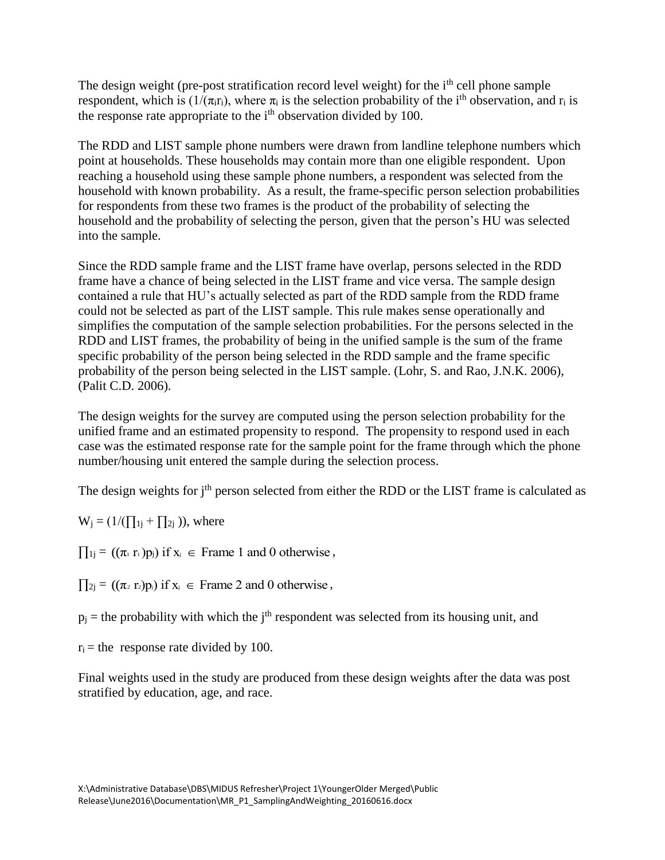The design weight (pre-post stratification record level weight) for the  $i<sup>th</sup>$  cell phone sample respondent, which is  $(1/(\pi_{i}r_{i})$ , where  $\pi_{i}$  is the selection probability of the i<sup>th</sup> observation, and  $r_{i}$  is the response rate appropriate to the i<sup>th</sup> observation divided by 100.

The RDD and LIST sample phone numbers were drawn from landline telephone numbers which point at households. These households may contain more than one eligible respondent. Upon reaching a household using these sample phone numbers, a respondent was selected from the household with known probability. As a result, the frame-specific person selection probabilities for respondents from these two frames is the product of the probability of selecting the household and the probability of selecting the person, given that the person's HU was selected into the sample.

Since the RDD sample frame and the LIST frame have overlap, persons selected in the RDD frame have a chance of being selected in the LIST frame and vice versa. The sample design contained a rule that HU's actually selected as part of the RDD sample from the RDD frame could not be selected as part of the LIST sample. This rule makes sense operationally and simplifies the computation of the sample selection probabilities. For the persons selected in the RDD and LIST frames, the probability of being in the unified sample is the sum of the frame specific probability of the person being selected in the RDD sample and the frame specific probability of the person being selected in the LIST sample. (Lohr, S. and Rao, J.N.K. 2006), (Palit C.D. 2006).

The design weights for the survey are computed using the person selection probability for the unified frame and an estimated propensity to respond. The propensity to respond used in each case was the estimated response rate for the sample point for the frame through which the phone number/housing unit entered the sample during the selection process.

The design weights for j<sup>th</sup> person selected from either the RDD or the LIST frame is calculated as

 $W_i = (1/(\prod_{1} + \prod_{2} i))$ , where

 $\prod_{1j}$  =  $((\pi_1 \cdot r_1)p_1)$  if  $x_i \in$  Frame 1 and 0 otherwise,

 $\prod_{2j} = ((\pi_2 \text{ r}_2) \text{ p}_j) \text{ if } x_j \in \text{Frame 2 and 0 otherwise},$ 

 $p_i$  = the probability with which the j<sup>th</sup> respondent was selected from its housing unit, and

 $r_i$  = the response rate divided by 100.

Final weights used in the study are produced from these design weights after the data was post stratified by education, age, and race.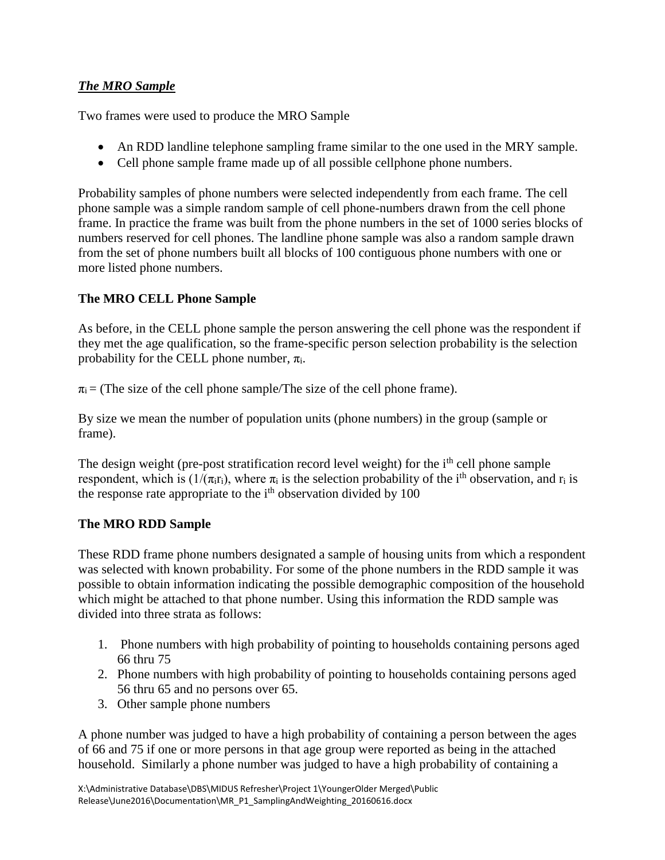### *The MRO Sample*

Two frames were used to produce the MRO Sample

- An RDD landline telephone sampling frame similar to the one used in the MRY sample.
- Cell phone sample frame made up of all possible cellphone phone numbers.

Probability samples of phone numbers were selected independently from each frame. The cell phone sample was a simple random sample of cell phone-numbers drawn from the cell phone frame. In practice the frame was built from the phone numbers in the set of 1000 series blocks of numbers reserved for cell phones. The landline phone sample was also a random sample drawn from the set of phone numbers built all blocks of 100 contiguous phone numbers with one or more listed phone numbers.

# **The MRO CELL Phone Sample**

As before, in the CELL phone sample the person answering the cell phone was the respondent if they met the age qualification, so the frame-specific person selection probability is the selection probability for the CELL phone number,  $\pi_i$ .

 $\pi_i$  = (The size of the cell phone sample/The size of the cell phone frame).

By size we mean the number of population units (phone numbers) in the group (sample or frame).

The design weight (pre-post stratification record level weight) for the i<sup>th</sup> cell phone sample respondent, which is  $(1/(\pi_{\text{if}}))$ , where  $\pi_i$  is the selection probability of the i<sup>th</sup> observation, and r<sub>i</sub> is the response rate appropriate to the i<sup>th</sup> observation divided by 100

### **The MRO RDD Sample**

These RDD frame phone numbers designated a sample of housing units from which a respondent was selected with known probability. For some of the phone numbers in the RDD sample it was possible to obtain information indicating the possible demographic composition of the household which might be attached to that phone number. Using this information the RDD sample was divided into three strata as follows:

- 1. Phone numbers with high probability of pointing to households containing persons aged 66 thru 75
- 2. Phone numbers with high probability of pointing to households containing persons aged 56 thru 65 and no persons over 65.
- 3. Other sample phone numbers

A phone number was judged to have a high probability of containing a person between the ages of 66 and 75 if one or more persons in that age group were reported as being in the attached household. Similarly a phone number was judged to have a high probability of containing a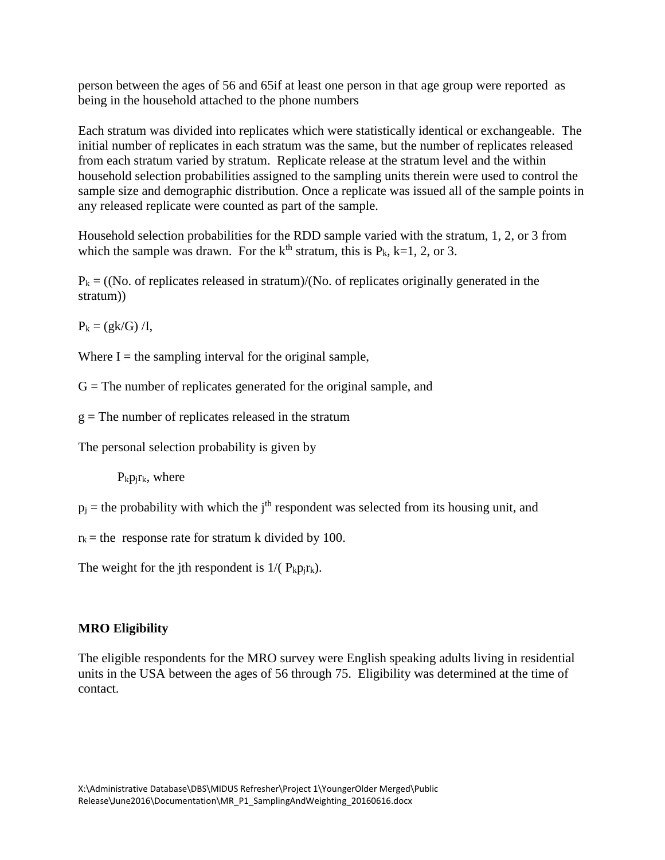person between the ages of 56 and 65if at least one person in that age group were reported as being in the household attached to the phone numbers

Each stratum was divided into replicates which were statistically identical or exchangeable. The initial number of replicates in each stratum was the same, but the number of replicates released from each stratum varied by stratum. Replicate release at the stratum level and the within household selection probabilities assigned to the sampling units therein were used to control the sample size and demographic distribution. Once a replicate was issued all of the sample points in any released replicate were counted as part of the sample.

Household selection probabilities for the RDD sample varied with the stratum, 1, 2, or 3 from which the sample was drawn. For the  $k<sup>th</sup>$  stratum, this is  $P_k$ , k=1, 2, or 3.

 $P_k = (N_o$  of replicates released in stratum)/(No. of replicates originally generated in the stratum))

 $P_k = (gk/G)/I$ ,

Where  $I =$  the sampling interval for the original sample,

 $G =$ The number of replicates generated for the original sample, and

 $g =$ The number of replicates released in the stratum

The personal selection probability is given by

 $P_kp_ir_k$ , where

 $p_i$  = the probability with which the j<sup>th</sup> respondent was selected from its housing unit, and

 $r_k$  = the response rate for stratum k divided by 100.

The weight for the jth respondent is  $1/(P_k p_i r_k)$ .

#### **MRO Eligibility**

The eligible respondents for the MRO survey were English speaking adults living in residential units in the USA between the ages of 56 through 75. Eligibility was determined at the time of contact.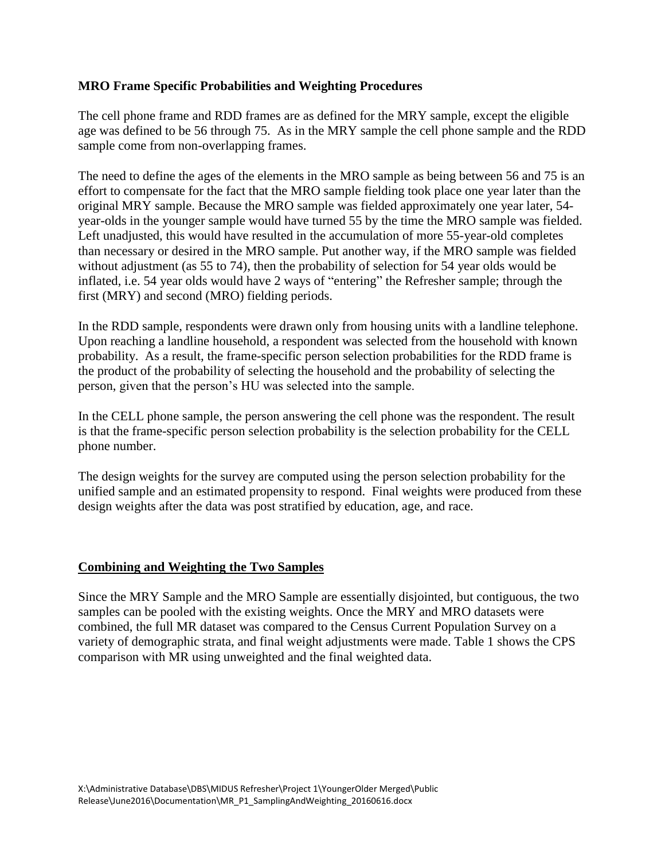#### **MRO Frame Specific Probabilities and Weighting Procedures**

The cell phone frame and RDD frames are as defined for the MRY sample, except the eligible age was defined to be 56 through 75. As in the MRY sample the cell phone sample and the RDD sample come from non-overlapping frames.

The need to define the ages of the elements in the MRO sample as being between 56 and 75 is an effort to compensate for the fact that the MRO sample fielding took place one year later than the original MRY sample. Because the MRO sample was fielded approximately one year later, 54 year-olds in the younger sample would have turned 55 by the time the MRO sample was fielded. Left unadjusted, this would have resulted in the accumulation of more 55-year-old completes than necessary or desired in the MRO sample. Put another way, if the MRO sample was fielded without adjustment (as 55 to 74), then the probability of selection for 54 year olds would be inflated, i.e. 54 year olds would have 2 ways of "entering" the Refresher sample; through the first (MRY) and second (MRO) fielding periods.

In the RDD sample, respondents were drawn only from housing units with a landline telephone. Upon reaching a landline household, a respondent was selected from the household with known probability. As a result, the frame-specific person selection probabilities for the RDD frame is the product of the probability of selecting the household and the probability of selecting the person, given that the person's HU was selected into the sample.

In the CELL phone sample, the person answering the cell phone was the respondent. The result is that the frame-specific person selection probability is the selection probability for the CELL phone number.

The design weights for the survey are computed using the person selection probability for the unified sample and an estimated propensity to respond. Final weights were produced from these design weights after the data was post stratified by education, age, and race.

#### **Combining and Weighting the Two Samples**

Since the MRY Sample and the MRO Sample are essentially disjointed, but contiguous, the two samples can be pooled with the existing weights. Once the MRY and MRO datasets were combined, the full MR dataset was compared to the Census Current Population Survey on a variety of demographic strata, and final weight adjustments were made. Table 1 shows the CPS comparison with MR using unweighted and the final weighted data.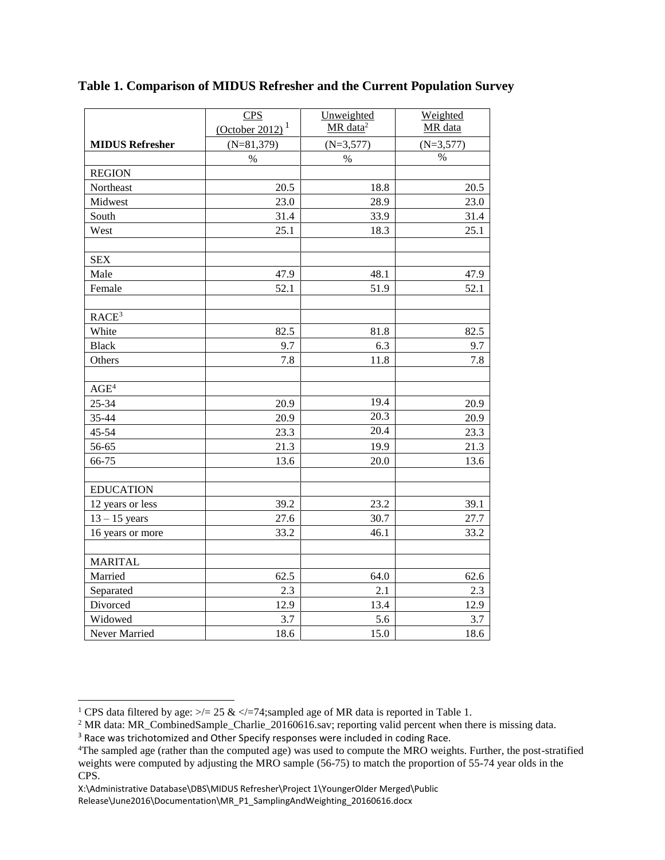|                        | CPS                                                   | Unweighted           | Weighted    |
|------------------------|-------------------------------------------------------|----------------------|-------------|
|                        | $\frac{\text{(October 2012)}^1}{\text{(Order 2012)}}$ | MR data <sup>2</sup> | MR data     |
| <b>MIDUS Refresher</b> | $(N=81,379)$                                          | $(N=3,577)$          | $(N=3,577)$ |
|                        | $\%$                                                  | $\%$                 | %           |
| <b>REGION</b>          |                                                       |                      |             |
| Northeast              | 20.5                                                  | 18.8                 | 20.5        |
| Midwest                | 23.0                                                  | 28.9                 | 23.0        |
| South                  | 31.4                                                  | 33.9                 | 31.4        |
| West                   | 25.1                                                  | 18.3                 | 25.1        |
| <b>SEX</b>             |                                                       |                      |             |
| Male                   | 47.9                                                  | 48.1                 | 47.9        |
| Female                 | 52.1                                                  | 51.9                 | 52.1        |
| RACE <sup>3</sup>      |                                                       |                      |             |
| White                  | 82.5                                                  | 81.8                 | 82.5        |
| <b>Black</b>           | 9.7                                                   | 6.3                  | 9.7         |
| Others                 | 7.8                                                   | 11.8                 | 7.8         |
| AGE <sup>4</sup>       |                                                       |                      |             |
| 25-34                  | 20.9                                                  | 19.4                 | 20.9        |
| 35-44                  | 20.9                                                  | 20.3                 | 20.9        |
| 45-54                  | 23.3                                                  | 20.4                 | 23.3        |
| 56-65                  | 21.3                                                  | 19.9                 | 21.3        |
| 66-75                  | 13.6                                                  | 20.0                 | 13.6        |
| <b>EDUCATION</b>       |                                                       |                      |             |
| 12 years or less       | 39.2                                                  | 23.2                 | 39.1        |
| $13 - 15$ years        | 27.6                                                  | 30.7                 | 27.7        |
| 16 years or more       | 33.2                                                  | 46.1                 | 33.2        |
| <b>MARITAL</b>         |                                                       |                      |             |
| Married                | 62.5                                                  | 64.0                 | 62.6        |
| Separated              | 2.3                                                   | 2.1                  | 2.3         |
| Divorced               | 12.9                                                  | 13.4                 | 12.9        |
| Widowed                | 3.7                                                   | 5.6                  | 3.7         |
| Never Married          | 18.6                                                  | 15.0                 | 18.6        |

**Table 1. Comparison of MIDUS Refresher and the Current Population Survey** 

l

<sup>&</sup>lt;sup>1</sup> CPS data filtered by age:  $\ge$  = 25 &  $\lt$  = 74; sampled age of MR data is reported in Table 1.

<sup>&</sup>lt;sup>2</sup> MR data: MR\_CombinedSample\_Charlie\_20160616.sav; reporting valid percent when there is missing data.

<sup>&</sup>lt;sup>3</sup> Race was trichotomized and Other Specify responses were included in coding Race.

<sup>&</sup>lt;sup>4</sup>The sampled age (rather than the computed age) was used to compute the MRO weights. Further, the post-stratified weights were computed by adjusting the MRO sample (56-75) to match the proportion of 55-74 year olds in the CPS.

X:\Administrative Database\DBS\MIDUS Refresher\Project 1\YoungerOlder Merged\Public Release\June2016\Documentation\MR\_P1\_SamplingAndWeighting\_20160616.docx